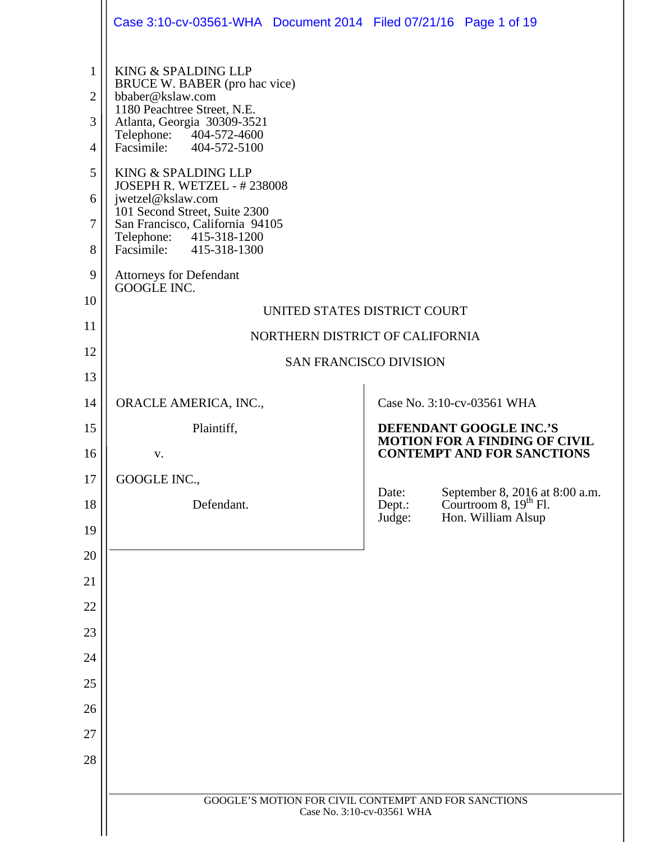|                     | Case 3:10-cv-03561-WHA  Document 2014  Filed 07/21/16  Page 1 of 19               |                                                                                                               |
|---------------------|-----------------------------------------------------------------------------------|---------------------------------------------------------------------------------------------------------------|
| $\mathbf{1}$        | KING & SPALDING LLP<br>BRUCE W. BABER (pro hac vice)                              |                                                                                                               |
| $\overline{2}$      | bbaber@kslaw.com<br>1180 Peachtree Street, N.E.                                   |                                                                                                               |
| 3<br>$\overline{4}$ | Atlanta, Georgia 30309-3521<br>Telephone: 404-572-4600<br>Facsimile: 404-572-5100 |                                                                                                               |
| 5                   | KING & SPALDING LLP                                                               |                                                                                                               |
| 6                   | JOSEPH R. WETZEL - #238008<br>jwetzel@kslaw.com                                   |                                                                                                               |
| $\overline{7}$      | 101 Second Street, Suite 2300<br>San Francisco, California 94105                  |                                                                                                               |
| 8                   | Telephone: 415-318-1200<br>Facsimile: 415-318-1300                                |                                                                                                               |
| 9                   | <b>Attorneys for Defendant</b><br>GOOGLE INC.                                     |                                                                                                               |
| 10                  |                                                                                   | UNITED STATES DISTRICT COURT                                                                                  |
| 11                  |                                                                                   | NORTHERN DISTRICT OF CALIFORNIA                                                                               |
| 12                  |                                                                                   | <b>SAN FRANCISCO DIVISION</b>                                                                                 |
| 13                  |                                                                                   |                                                                                                               |
| 14                  | ORACLE AMERICA, INC.,                                                             | Case No. 3:10-cv-03561 WHA                                                                                    |
| 15                  | Plaintiff,                                                                        | DEFENDANT GOOGLE INC.'S<br><b>MOTION FOR A FINDING OF CIVIL</b>                                               |
| 16                  | V.                                                                                | <b>CONTEMPT AND FOR SANCTIONS</b>                                                                             |
| 17                  | GOOGLE INC.,                                                                      | Date:                                                                                                         |
| 18<br>19            | Defendant.                                                                        | September 8, 2016 at 8:00 a.m.<br>Courtroom 8, 19 <sup>th</sup> Fl.<br>Dept.:<br>Hon. William Alsup<br>Judge: |
| 20                  |                                                                                   |                                                                                                               |
| 21                  |                                                                                   |                                                                                                               |
| 22                  |                                                                                   |                                                                                                               |
| 23                  |                                                                                   |                                                                                                               |
| 24                  |                                                                                   |                                                                                                               |
| 25                  |                                                                                   |                                                                                                               |
| 26                  |                                                                                   |                                                                                                               |
| 27                  |                                                                                   |                                                                                                               |
| 28                  |                                                                                   |                                                                                                               |
|                     |                                                                                   |                                                                                                               |
|                     |                                                                                   | GOOGLE'S MOTION FOR CIVIL CONTEMPT AND FOR SANCTIONS<br>Case No. 3:10-cv-03561 WHA                            |
|                     |                                                                                   |                                                                                                               |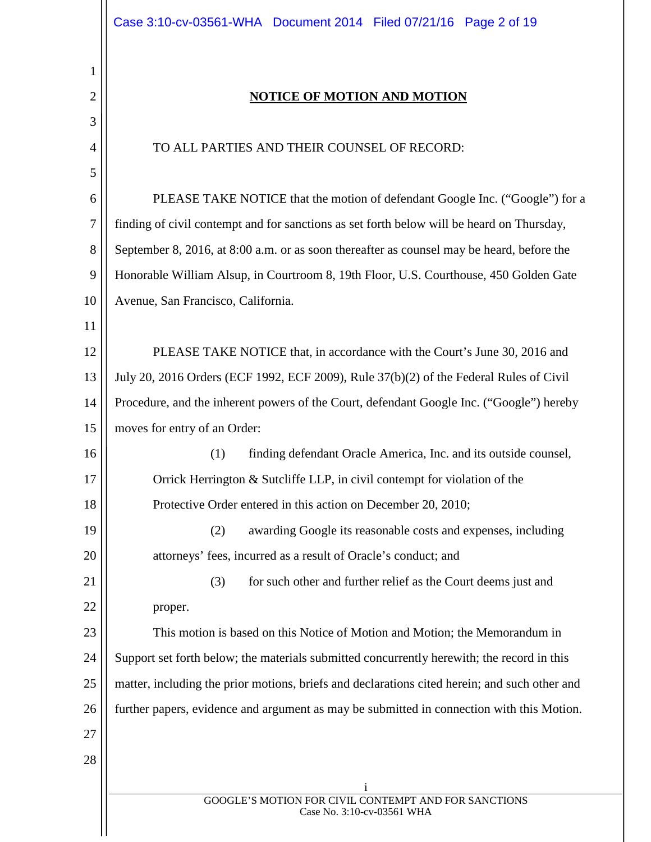1

| $\overline{c}$ | <b>NOTICE OF MOTION AND MOTION</b>                                                            |
|----------------|-----------------------------------------------------------------------------------------------|
| 3              |                                                                                               |
| $\overline{4}$ | TO ALL PARTIES AND THEIR COUNSEL OF RECORD:                                                   |
| 5              |                                                                                               |
| 6              | PLEASE TAKE NOTICE that the motion of defendant Google Inc. ("Google") for a                  |
| 7              | finding of civil contempt and for sanctions as set forth below will be heard on Thursday,     |
| 8              | September 8, 2016, at 8:00 a.m. or as soon thereafter as counsel may be heard, before the     |
| 9              | Honorable William Alsup, in Courtroom 8, 19th Floor, U.S. Courthouse, 450 Golden Gate         |
| 10             | Avenue, San Francisco, California.                                                            |
| 11             |                                                                                               |
| 12             | PLEASE TAKE NOTICE that, in accordance with the Court's June 30, 2016 and                     |
| 13             | July 20, 2016 Orders (ECF 1992, ECF 2009), Rule 37(b)(2) of the Federal Rules of Civil        |
| 14             | Procedure, and the inherent powers of the Court, defendant Google Inc. ("Google") hereby      |
| 15             | moves for entry of an Order:                                                                  |
| 16             | (1)<br>finding defendant Oracle America, Inc. and its outside counsel,                        |
| 17             | Orrick Herrington & Sutcliffe LLP, in civil contempt for violation of the                     |
| 18             | Protective Order entered in this action on December 20, 2010;                                 |
| 19             | (2)<br>awarding Google its reasonable costs and expenses, including                           |
| 20             | attorneys' fees, incurred as a result of Oracle's conduct; and                                |
| 21             | for such other and further relief as the Court deems just and<br>(3)                          |
| 22             | proper.                                                                                       |
| 23             | This motion is based on this Notice of Motion and Motion; the Memorandum in                   |
| 24             | Support set forth below; the materials submitted concurrently herewith; the record in this    |
| 25             | matter, including the prior motions, briefs and declarations cited herein; and such other and |
| 26             | further papers, evidence and argument as may be submitted in connection with this Motion.     |
| 27             |                                                                                               |
| 28             |                                                                                               |
|                | $\mathbf{1}$                                                                                  |
|                | GOOGLE'S MOTION FOR CIVIL CONTEMPT AND FOR SANCTIONS<br>Case No. 3:10-cv-03561 WHA            |
|                |                                                                                               |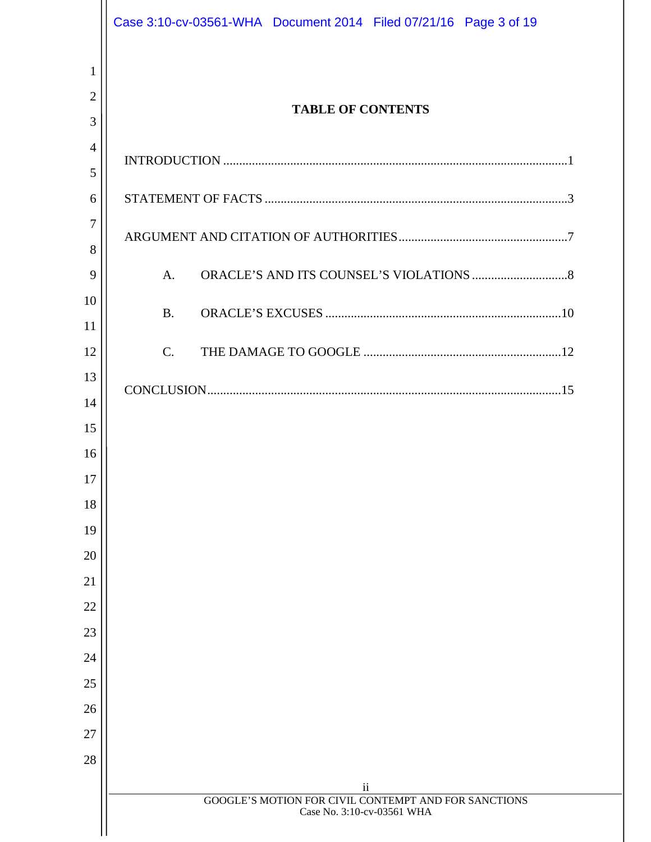|                | Case 3:10-cv-03561-WHA  Document 2014  Filed 07/21/16  Page 3 of 19 |  |
|----------------|---------------------------------------------------------------------|--|
| $\mathbf{1}$   |                                                                     |  |
| $\overline{2}$ |                                                                     |  |
| 3              | <b>TABLE OF CONTENTS</b>                                            |  |
| $\overline{4}$ |                                                                     |  |
| 5              |                                                                     |  |
| 6              |                                                                     |  |
| $\overline{7}$ |                                                                     |  |
| 8              |                                                                     |  |
| 9              | A <sub>1</sub>                                                      |  |
| 10             | B.                                                                  |  |
| 11             |                                                                     |  |
| 12             | $C_{\cdot}$                                                         |  |
| 13<br>14       |                                                                     |  |
| 15             |                                                                     |  |
| 16             |                                                                     |  |
| 17             |                                                                     |  |
| 18             |                                                                     |  |
| 19             |                                                                     |  |
| 20             |                                                                     |  |
| 21             |                                                                     |  |
| 22             |                                                                     |  |
| 23             |                                                                     |  |
| 24             |                                                                     |  |
| 25             |                                                                     |  |
| 26             |                                                                     |  |
| 27             |                                                                     |  |
| 28             |                                                                     |  |
|                | $\rm ii$<br>GOOGLE'S MOTION FOR CIVIL CONTEMPT AND FOR SANCTIONS    |  |
|                | Case No. 3:10-cv-03561 WHA                                          |  |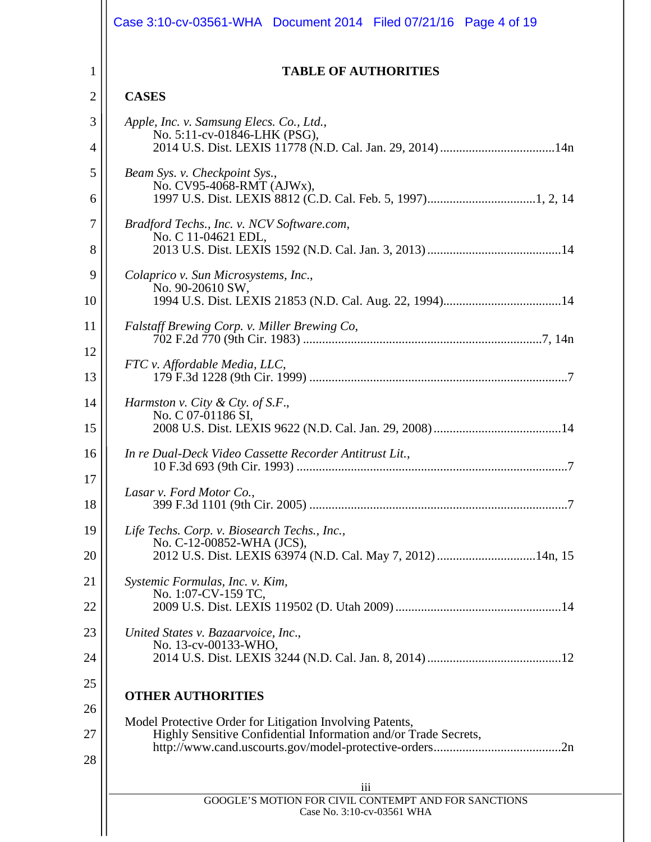|                | Case 3:10-cv-03561-WHA  Document 2014  Filed 07/21/16  Page 4 of 19                                                         |
|----------------|-----------------------------------------------------------------------------------------------------------------------------|
| 1              | <b>TABLE OF AUTHORITIES</b>                                                                                                 |
| $\overline{2}$ | <b>CASES</b>                                                                                                                |
| 3              | Apple, Inc. v. Samsung Elecs. Co., Ltd.,                                                                                    |
| 4              | No. 5:11-cv-01846-LHK (PSG),                                                                                                |
| 5              | Beam Sys. v. Checkpoint Sys.,                                                                                               |
| 6              | No. CV95-4068-RMT (AJWx),                                                                                                   |
| 7              | Bradford Techs., Inc. v. NCV Software.com,<br>No. C 11-04621 EDL,                                                           |
| 8              |                                                                                                                             |
| 9              | Colaprico v. Sun Microsystems, Inc.,<br>No. 90-20610 SW,                                                                    |
| 10             |                                                                                                                             |
| 11             | Falstaff Brewing Corp. v. Miller Brewing Co,                                                                                |
| 12             |                                                                                                                             |
| 13             | FTC v. Affordable Media, LLC,                                                                                               |
| 14             | Harmston v. City & Cty. of S.F.,                                                                                            |
| 15             | No. C 07-01186 SI,                                                                                                          |
| 16             | In re Dual-Deck Video Cassette Recorder Antitrust Lit.,                                                                     |
| 17<br>18       | Lasar v. Ford Motor Co.,                                                                                                    |
| 19             | Life Techs. Corp. v. Biosearch Techs., Inc.,                                                                                |
| 20             | No. C-12-00852-WHA (JCS),<br>2012 U.S. Dist. LEXIS 63974 (N.D. Cal. May 7, 2012) 14n, 15                                    |
| 21             | Systemic Formulas, Inc. v. Kim,<br>No. 1:07-CV-159 TC,                                                                      |
| 22             |                                                                                                                             |
| 23             | United States v. Bazaarvoice, Inc.,<br>No. 13-cv-00133-WHO,                                                                 |
| 24             |                                                                                                                             |
| 25<br>26       | <b>OTHER AUTHORITIES</b>                                                                                                    |
| 27<br>28       | Model Protective Order for Litigation Involving Patents,<br>Highly Sensitive Confidential Information and/or Trade Secrets, |
|                | iii                                                                                                                         |
|                | GOOGLE'S MOTION FOR CIVIL CONTEMPT AND FOR SANCTIONS<br>Case No. 3:10-cv-03561 WHA                                          |
|                |                                                                                                                             |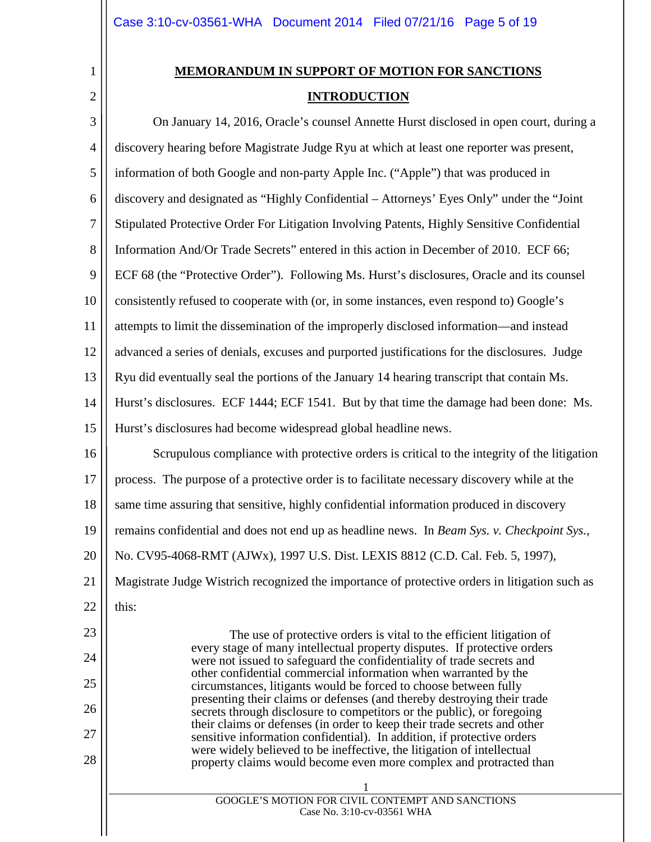| 1 |
|---|

 $\mathbf{L}$ 

# **MEMORANDUM IN SUPPORT OF MOTION FOR SANCTIONS INTRODUCTION**

| 3              | On January 14, 2016, Oracle's counsel Annette Hurst disclosed in open court, during a                                                              |
|----------------|----------------------------------------------------------------------------------------------------------------------------------------------------|
| $\overline{4}$ | discovery hearing before Magistrate Judge Ryu at which at least one reporter was present,                                                          |
| 5              | information of both Google and non-party Apple Inc. ("Apple") that was produced in                                                                 |
| 6              | discovery and designated as "Highly Confidential – Attorneys' Eyes Only" under the "Joint"                                                         |
| $\overline{7}$ | Stipulated Protective Order For Litigation Involving Patents, Highly Sensitive Confidential                                                        |
| $8\,$          | Information And/Or Trade Secrets" entered in this action in December of 2010. ECF 66;                                                              |
| 9              | ECF 68 (the "Protective Order"). Following Ms. Hurst's disclosures, Oracle and its counsel                                                         |
| 10             | consistently refused to cooperate with (or, in some instances, even respond to) Google's                                                           |
| 11             | attempts to limit the dissemination of the improperly disclosed information—and instead                                                            |
| 12             | advanced a series of denials, excuses and purported justifications for the disclosures. Judge                                                      |
| 13             | Ryu did eventually seal the portions of the January 14 hearing transcript that contain Ms.                                                         |
| 14             | Hurst's disclosures. ECF 1444; ECF 1541. But by that time the damage had been done: Ms.                                                            |
| 15             | Hurst's disclosures had become widespread global headline news.                                                                                    |
| 16             | Scrupulous compliance with protective orders is critical to the integrity of the litigation                                                        |
| 17             | process. The purpose of a protective order is to facilitate necessary discovery while at the                                                       |
| 18             | same time assuring that sensitive, highly confidential information produced in discovery                                                           |
| 19             | remains confidential and does not end up as headline news. In Beam Sys. v. Checkpoint Sys.,                                                        |
| 20             | No. CV95-4068-RMT (AJWx), 1997 U.S. Dist. LEXIS 8812 (C.D. Cal. Feb. 5, 1997),                                                                     |
| 21             | Magistrate Judge Wistrich recognized the importance of protective orders in litigation such as                                                     |
| 22             | this:                                                                                                                                              |
| 23             | The use of protective orders is vital to the efficient litigation of                                                                               |
| 24             | every stage of many intellectual property disputes. If protective orders<br>were not issued to safeguard the confidentiality of trade secrets and  |
| 25             | other confidential commercial information when warranted by the<br>circumstances, litigants would be forced to choose between fully                |
| 26             | presenting their claims or defenses (and thereby destroying their trade<br>secrets through disclosure to competitors or the public), or foregoing  |
| 27             | their claims or defenses (in order to keep their trade secrets and other<br>sensitive information confidential). In addition, if protective orders |
| 28             | were widely believed to be ineffective, the litigation of intellectual<br>property claims would become even more complex and protracted than       |
|                |                                                                                                                                                    |
|                | GOOGLE'S MOTION FOR CIVIL CONTEMPT AND SANCTIONS<br>Case No. 3:10-cv-03561 WHA                                                                     |
|                |                                                                                                                                                    |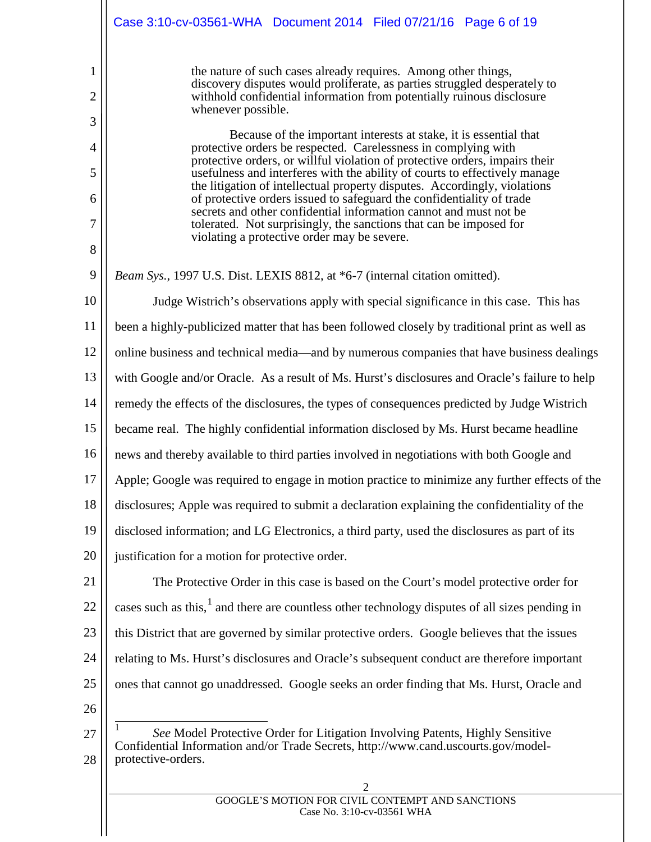|                          | Case 3:10-cv-03561-WHA Document 2014 Filed 07/21/16 Page 6 of 19                                                                                                                                                                                                                                                                             |
|--------------------------|----------------------------------------------------------------------------------------------------------------------------------------------------------------------------------------------------------------------------------------------------------------------------------------------------------------------------------------------|
| 1<br>$\overline{2}$<br>3 | the nature of such cases already requires. Among other things,<br>discovery disputes would proliferate, as parties struggled desperately to<br>withhold confidential information from potentially ruinous disclosure<br>whenever possible.                                                                                                   |
| $\overline{4}$<br>5      | Because of the important interests at stake, it is essential that<br>protective orders be respected. Carelessness in complying with<br>protective orders, or willful violation of protective orders, impairs their<br>usefulness and interferes with the ability of courts to effectively manage                                             |
| 6<br>$\overline{7}$      | the litigation of intellectual property disputes. Accordingly, violations<br>of protective orders issued to safeguard the confidentiality of trade<br>secrets and other confidential information cannot and must not be<br>tolerated. Not surprisingly, the sanctions that can be imposed for<br>violating a protective order may be severe. |
| 8<br>9                   | Beam Sys., 1997 U.S. Dist. LEXIS 8812, at *6-7 (internal citation omitted).                                                                                                                                                                                                                                                                  |
| 10                       | Judge Wistrich's observations apply with special significance in this case. This has                                                                                                                                                                                                                                                         |
| 11                       | been a highly-publicized matter that has been followed closely by traditional print as well as                                                                                                                                                                                                                                               |
| 12                       | online business and technical media—and by numerous companies that have business dealings                                                                                                                                                                                                                                                    |
| 13                       | with Google and/or Oracle. As a result of Ms. Hurst's disclosures and Oracle's failure to help                                                                                                                                                                                                                                               |
| 14                       | remedy the effects of the disclosures, the types of consequences predicted by Judge Wistrich                                                                                                                                                                                                                                                 |
| 15                       | became real. The highly confidential information disclosed by Ms. Hurst became headline                                                                                                                                                                                                                                                      |
| 16                       | news and thereby available to third parties involved in negotiations with both Google and                                                                                                                                                                                                                                                    |
| 17                       | Apple; Google was required to engage in motion practice to minimize any further effects of the                                                                                                                                                                                                                                               |
| 18                       | disclosures; Apple was required to submit a declaration explaining the confidentiality of the                                                                                                                                                                                                                                                |
| 19                       | disclosed information; and LG Electronics, a third party, used the disclosures as part of its                                                                                                                                                                                                                                                |
| 20                       | justification for a motion for protective order.                                                                                                                                                                                                                                                                                             |
| 21                       | The Protective Order in this case is based on the Court's model protective order for                                                                                                                                                                                                                                                         |
| 22                       | cases such as this, <sup>1</sup> and there are countless other technology disputes of all sizes pending in                                                                                                                                                                                                                                   |
| 23                       | this District that are governed by similar protective orders. Google believes that the issues                                                                                                                                                                                                                                                |
| 24                       | relating to Ms. Hurst's disclosures and Oracle's subsequent conduct are therefore important                                                                                                                                                                                                                                                  |
| 25                       | ones that cannot go unaddressed. Google seeks an order finding that Ms. Hurst, Oracle and                                                                                                                                                                                                                                                    |
| 26                       |                                                                                                                                                                                                                                                                                                                                              |
| 27<br>28                 | See Model Protective Order for Litigation Involving Patents, Highly Sensitive<br>Confidential Information and/or Trade Secrets, http://www.cand.uscourts.gov/model-<br>protective-orders.                                                                                                                                                    |
|                          |                                                                                                                                                                                                                                                                                                                                              |

<span id="page-5-0"></span>GOOGLE'S MOTION FOR CIVIL CONTEMPT AND SANCTIONS Case No. 3:10-cv-03561 WHA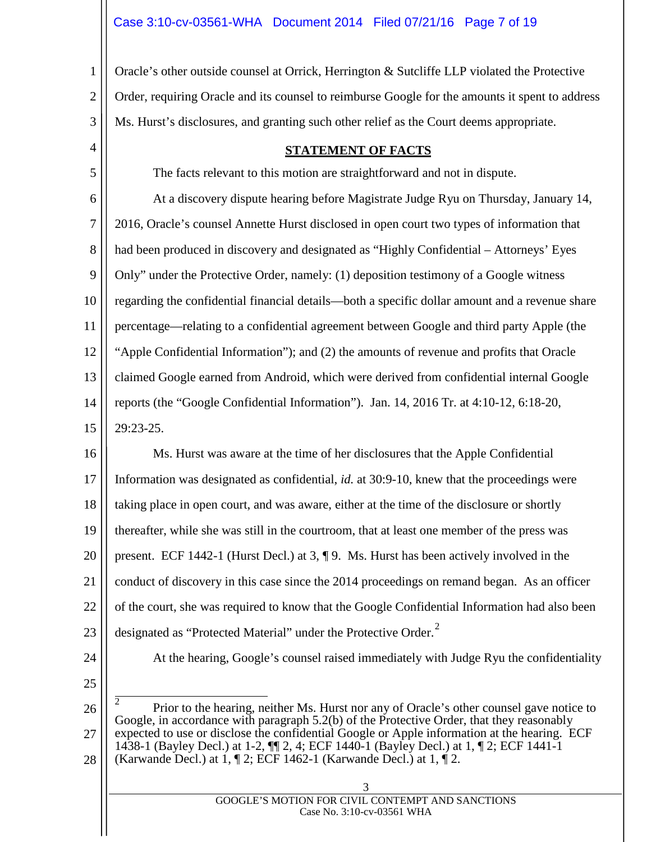3 Oracle's other outside counsel at Orrick, Herrington & Sutcliffe LLP violated the Protective Order, requiring Oracle and its counsel to reimburse Google for the amounts it spent to address Ms. Hurst's disclosures, and granting such other relief as the Court deems appropriate.

#### **STATEMENT OF FACTS**

The facts relevant to this motion are straightforward and not in dispute.

6 7 8 9 10 11 12 13 14 15 At a discovery dispute hearing before Magistrate Judge Ryu on Thursday, January 14, 2016, Oracle's counsel Annette Hurst disclosed in open court two types of information that had been produced in discovery and designated as "Highly Confidential – Attorneys' Eyes Only" under the Protective Order, namely: (1) deposition testimony of a Google witness regarding the confidential financial details—both a specific dollar amount and a revenue share percentage—relating to a confidential agreement between Google and third party Apple (the "Apple Confidential Information"); and (2) the amounts of revenue and profits that Oracle claimed Google earned from Android, which were derived from confidential internal Google reports (the "Google Confidential Information"). Jan. 14, 2016 Tr. at 4:10-12, 6:18-20, 29:23-25.

16 17 18 19 20 21 22 23 Ms. Hurst was aware at the time of her disclosures that the Apple Confidential Information was designated as confidential, *id.* at 30:9-10, knew that the proceedings were taking place in open court, and was aware, either at the time of the disclosure or shortly thereafter, while she was still in the courtroom, that at least one member of the press was present. ECF 1442-1 (Hurst Decl.) at 3, ¶ 9. Ms. Hurst has been actively involved in the conduct of discovery in this case since the 2014 proceedings on remand began. As an officer of the court, she was required to know that the Google Confidential Information had also been designated as "Protected Material" under the Protective Order. $2$ 

24

1

2

4

5

At the hearing, Google's counsel raised immediately with Judge Ryu the confidentiality

25

<span id="page-6-0"></span>26 27 28 2 Prior to the hearing, neither Ms. Hurst nor any of Oracle's other counsel gave notice to Google, in accordance with paragraph 5.2(b) of the Protective Order, that they reasonably expected to use or disclose the confidential Google or Apple information at the hearing. ECF 1438-1 (Bayley Decl.) at 1-2, ¶¶ 2, 4; ECF 1440-1 (Bayley Decl.) at 1, ¶ 2; ECF 1441-1 (Karwande Decl.) at 1, ¶ 2; ECF 1462-1 (Karwande Decl.) at 1, ¶ 2.

3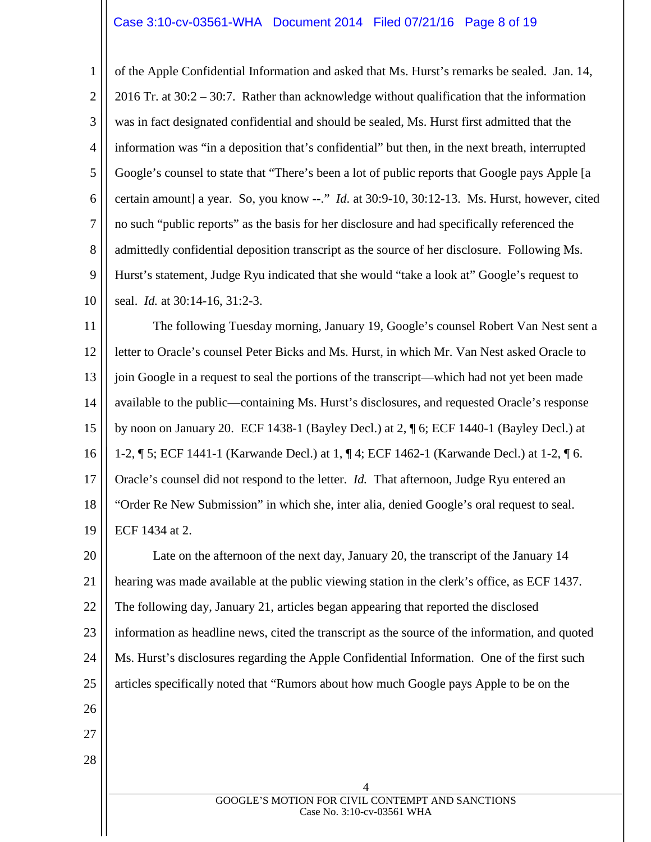#### Case 3:10-cv-03561-WHA Document 2014 Filed 07/21/16 Page 8 of 19

1 2 3 4 5 6 7 8 9 10 of the Apple Confidential Information and asked that Ms. Hurst's remarks be sealed. Jan. 14, 2016 Tr. at 30:2 – 30:7. Rather than acknowledge without qualification that the information was in fact designated confidential and should be sealed, Ms. Hurst first admitted that the information was "in a deposition that's confidential" but then, in the next breath, interrupted Google's counsel to state that "There's been a lot of public reports that Google pays Apple [a certain amount] a year. So, you know --." *Id*. at 30:9-10, 30:12-13. Ms. Hurst, however, cited no such "public reports" as the basis for her disclosure and had specifically referenced the admittedly confidential deposition transcript as the source of her disclosure. Following Ms. Hurst's statement, Judge Ryu indicated that she would "take a look at" Google's request to seal. *Id.* at 30:14-16, 31:2-3.

11 12 13 14 15 16 17 18 19 The following Tuesday morning, January 19, Google's counsel Robert Van Nest sent a letter to Oracle's counsel Peter Bicks and Ms. Hurst, in which Mr. Van Nest asked Oracle to join Google in a request to seal the portions of the transcript—which had not yet been made available to the public—containing Ms. Hurst's disclosures, and requested Oracle's response by noon on January 20. ECF 1438-1 (Bayley Decl.) at 2, ¶ 6; ECF 1440-1 (Bayley Decl.) at 1-2, ¶ 5; ECF 1441-1 (Karwande Decl.) at 1, ¶ 4; ECF 1462-1 (Karwande Decl.) at 1-2, ¶ 6. Oracle's counsel did not respond to the letter. *Id.* That afternoon, Judge Ryu entered an "Order Re New Submission" in which she, inter alia, denied Google's oral request to seal. ECF 1434 at 2.

20 21 22 23 24 25 26 27 Late on the afternoon of the next day, January 20, the transcript of the January 14 hearing was made available at the public viewing station in the clerk's office, as ECF 1437. The following day, January 21, articles began appearing that reported the disclosed information as headline news, cited the transcript as the source of the information, and quoted Ms. Hurst's disclosures regarding the Apple Confidential Information. One of the first such articles specifically noted that "Rumors about how much Google pays Apple to be on the

28

4 GOOGLE'S MOTION FOR CIVIL CONTEMPT AND SANCTIONS Case No. 3:10-cv-03561 WHA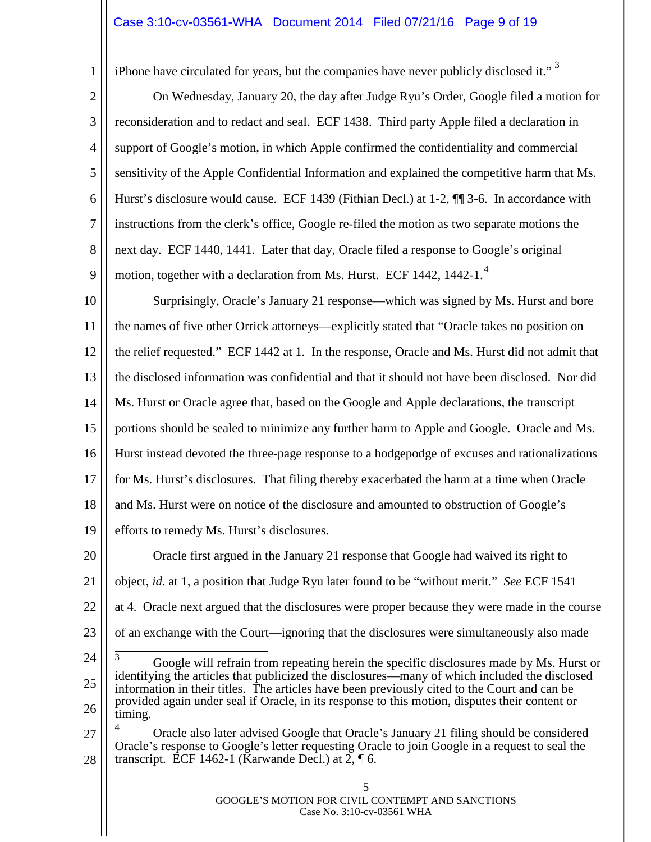## Case 3:10-cv-03561-WHA Document 2014 Filed 07/21/16 Page 9 of 19

iPhone have circulated for years, but the companies have never publicly disclosed it."  $3$ 

1

2 3 4 5 6 7 8 9 On Wednesday, January 20, the day after Judge Ryu's Order, Google filed a motion for reconsideration and to redact and seal. ECF 1438. Third party Apple filed a declaration in support of Google's motion, in which Apple confirmed the confidentiality and commercial sensitivity of the Apple Confidential Information and explained the competitive harm that Ms. Hurst's disclosure would cause. ECF 1439 (Fithian Decl.) at 1-2,  $\P$  3-6. In accordance with instructions from the clerk's office, Google re-filed the motion as two separate motions the next day. ECF 1440, 1441. Later that day, Oracle filed a response to Google's original motion, together with a declaration from Ms. Hurst. ECF 1[4](#page-8-1)42, 1442-1. $<sup>4</sup>$ </sup>

10 11 12 13 14 15 16 17 18 19 Surprisingly, Oracle's January 21 response—which was signed by Ms. Hurst and bore the names of five other Orrick attorneys—explicitly stated that "Oracle takes no position on the relief requested." ECF 1442 at 1. In the response, Oracle and Ms. Hurst did not admit that the disclosed information was confidential and that it should not have been disclosed. Nor did Ms. Hurst or Oracle agree that, based on the Google and Apple declarations, the transcript portions should be sealed to minimize any further harm to Apple and Google. Oracle and Ms. Hurst instead devoted the three-page response to a hodgepodge of excuses and rationalizations for Ms. Hurst's disclosures. That filing thereby exacerbated the harm at a time when Oracle and Ms. Hurst were on notice of the disclosure and amounted to obstruction of Google's efforts to remedy Ms. Hurst's disclosures.

20 21 22 23 Oracle first argued in the January 21 response that Google had waived its right to object, *id.* at 1, a position that Judge Ryu later found to be "without merit." *See* ECF 1541 at 4. Oracle next argued that the disclosures were proper because they were made in the course of an exchange with the Court—ignoring that the disclosures were simultaneously also made

<span id="page-8-0"></span><sup>24</sup> 25 26  $\frac{3}{3}$  Google will refrain from repeating herein the specific disclosures made by Ms. Hurst or identifying the articles that publicized the disclosures—many of which included the disclosed information in their titles. The articles have been previously cited to the Court and can be provided again under seal if Oracle, in its response to this motion, disputes their content or timing.

<span id="page-8-1"></span><sup>27</sup> 28 <sup>4</sup> Oracle also later advised Google that Oracle's January 21 filing should be considered Oracle's response to Google's letter requesting Oracle to join Google in a request to seal the transcript. ECF 1462-1 (Karwande Decl.) at  $2, \P$  6.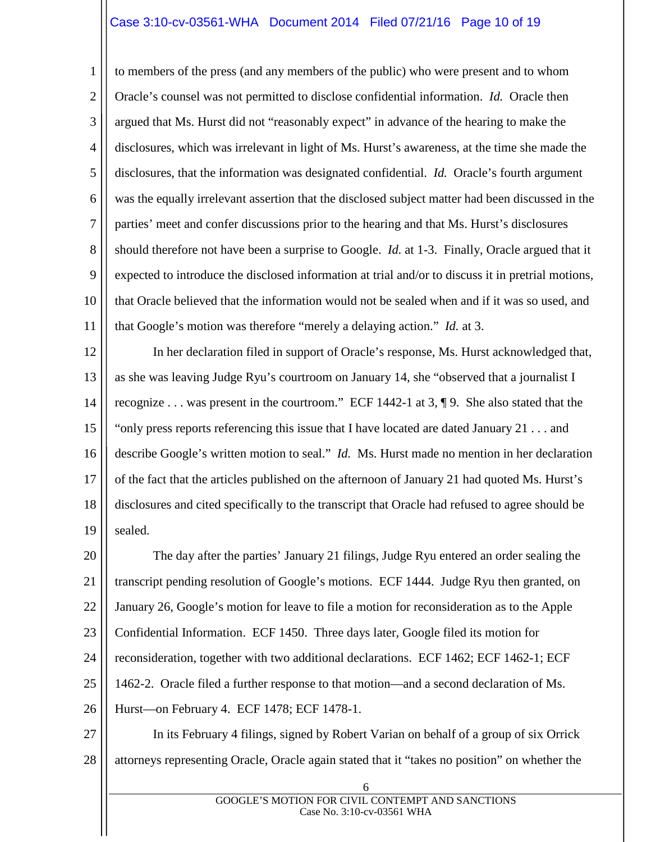## Case 3:10-cv-03561-WHA Document 2014 Filed 07/21/16 Page 10 of 19

1 2 3 4 5 6 7 8 9 10 11 to members of the press (and any members of the public) who were present and to whom Oracle's counsel was not permitted to disclose confidential information. *Id.* Oracle then argued that Ms. Hurst did not "reasonably expect" in advance of the hearing to make the disclosures, which was irrelevant in light of Ms. Hurst's awareness, at the time she made the disclosures, that the information was designated confidential. *Id.* Oracle's fourth argument was the equally irrelevant assertion that the disclosed subject matter had been discussed in the parties' meet and confer discussions prior to the hearing and that Ms. Hurst's disclosures should therefore not have been a surprise to Google. *Id.* at 1-3. Finally, Oracle argued that it expected to introduce the disclosed information at trial and/or to discuss it in pretrial motions, that Oracle believed that the information would not be sealed when and if it was so used, and that Google's motion was therefore "merely a delaying action." *Id.* at 3.

12 13 14 15 16 17 18 19 In her declaration filed in support of Oracle's response, Ms. Hurst acknowledged that, as she was leaving Judge Ryu's courtroom on January 14, she "observed that a journalist I recognize . . . was present in the courtroom." ECF 1442-1 at 3, ¶ 9. She also stated that the "only press reports referencing this issue that I have located are dated January 21 . . . and describe Google's written motion to seal." *Id.* Ms. Hurst made no mention in her declaration of the fact that the articles published on the afternoon of January 21 had quoted Ms. Hurst's disclosures and cited specifically to the transcript that Oracle had refused to agree should be sealed.

20 21 22 23 24 25 26 The day after the parties' January 21 filings, Judge Ryu entered an order sealing the transcript pending resolution of Google's motions. ECF 1444. Judge Ryu then granted, on January 26, Google's motion for leave to file a motion for reconsideration as to the Apple Confidential Information. ECF 1450. Three days later, Google filed its motion for reconsideration, together with two additional declarations. ECF 1462; ECF 1462-1; ECF 1462-2. Oracle filed a further response to that motion—and a second declaration of Ms. Hurst—on February 4. ECF 1478; ECF 1478-1.

27 28 In its February 4 filings, signed by Robert Varian on behalf of a group of six Orrick attorneys representing Oracle, Oracle again stated that it "takes no position" on whether the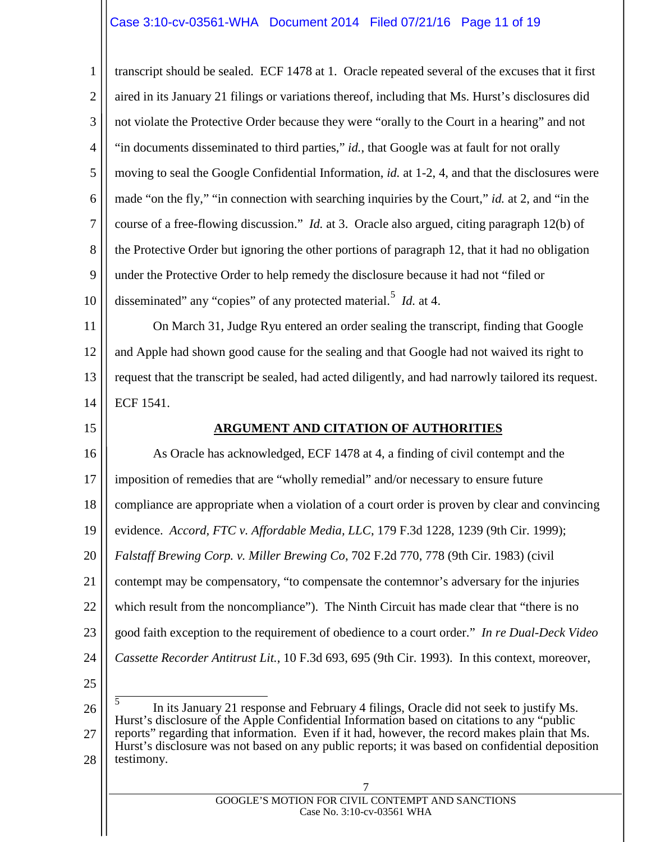# Case 3:10-cv-03561-WHA Document 2014 Filed 07/21/16 Page 11 of 19

1 2 3 4 5 6 7 8 9 10 transcript should be sealed. ECF 1478 at 1. Oracle repeated several of the excuses that it first aired in its January 21 filings or variations thereof, including that Ms. Hurst's disclosures did not violate the Protective Order because they were "orally to the Court in a hearing" and not "in documents disseminated to third parties," *id.*, that Google was at fault for not orally moving to seal the Google Confidential Information, *id.* at 1-2, 4, and that the disclosures were made "on the fly," "in connection with searching inquiries by the Court," *id.* at 2, and "in the course of a free-flowing discussion." *Id.* at 3. Oracle also argued, citing paragraph 12(b) of the Protective Order but ignoring the other portions of paragraph 12, that it had no obligation under the Protective Order to help remedy the disclosure because it had not "filed or disseminated" any "copies" of any protected material.<sup>[5](#page-10-0)</sup> *Id.* at 4.

11 12 13 14 On March 31, Judge Ryu entered an order sealing the transcript, finding that Google and Apple had shown good cause for the sealing and that Google had not waived its right to request that the transcript be sealed, had acted diligently, and had narrowly tailored its request. ECF 1541.

#### 15

#### **ARGUMENT AND CITATION OF AUTHORITIES**

16 17 18 19 20 21 22 23 24 25 As Oracle has acknowledged, ECF 1478 at 4, a finding of civil contempt and the imposition of remedies that are "wholly remedial" and/or necessary to ensure future compliance are appropriate when a violation of a court order is proven by clear and convincing evidence. *Accord, FTC v. Affordable Media, LLC*, 179 F.3d 1228, 1239 (9th Cir. 1999); *Falstaff Brewing Corp. v. Miller Brewing Co*, 702 F.2d 770, 778 (9th Cir. 1983) (civil contempt may be compensatory, "to compensate the contemnor's adversary for the injuries which result from the noncompliance"). The Ninth Circuit has made clear that "there is no good faith exception to the requirement of obedience to a court order." *In re Dual-Deck Video Cassette Recorder Antitrust Lit.*, 10 F.3d 693, 695 (9th Cir. 1993). In this context, moreover,

<span id="page-10-0"></span>26 27 28 5 In its January 21 response and February 4 filings, Oracle did not seek to justify Ms. Hurst's disclosure of the Apple Confidential Information based on citations to any "public reports" regarding that information. Even if it had, however, the record makes plain that Ms. Hurst's disclosure was not based on any public reports; it was based on confidential deposition testimony.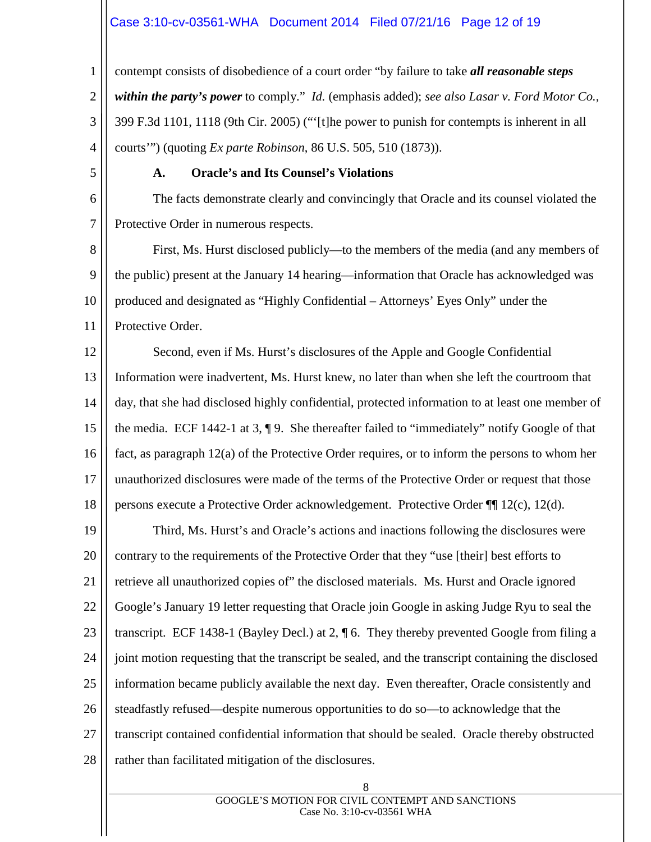## Case 3:10-cv-03561-WHA Document 2014 Filed 07/21/16 Page 12 of 19

1 2 3 4 contempt consists of disobedience of a court order "by failure to take *all reasonable steps within the party's power* to comply." *Id.* (emphasis added); *see also Lasar v. Ford Motor Co.*, 399 F.3d 1101, 1118 (9th Cir. 2005) ("'[t]he power to punish for contempts is inherent in all courts'") (quoting *Ex parte Robinson*, 86 U.S. 505, 510 (1873)).

5

6

7

## **A. Oracle's and Its Counsel's Violations**

The facts demonstrate clearly and convincingly that Oracle and its counsel violated the Protective Order in numerous respects.

8 9 10 11 First, Ms. Hurst disclosed publicly—to the members of the media (and any members of the public) present at the January 14 hearing—information that Oracle has acknowledged was produced and designated as "Highly Confidential – Attorneys' Eyes Only" under the Protective Order.

12 13 14 15 16 17 18 Second, even if Ms. Hurst's disclosures of the Apple and Google Confidential Information were inadvertent, Ms. Hurst knew, no later than when she left the courtroom that day, that she had disclosed highly confidential, protected information to at least one member of the media. ECF 1442-1 at 3, ¶ 9. She thereafter failed to "immediately" notify Google of that fact, as paragraph 12(a) of the Protective Order requires, or to inform the persons to whom her unauthorized disclosures were made of the terms of the Protective Order or request that those persons execute a Protective Order acknowledgement. Protective Order ¶¶ 12(c), 12(d).

19 20 21 22 23 24 25 26 27 28 Third, Ms. Hurst's and Oracle's actions and inactions following the disclosures were contrary to the requirements of the Protective Order that they "use [their] best efforts to retrieve all unauthorized copies of" the disclosed materials. Ms. Hurst and Oracle ignored Google's January 19 letter requesting that Oracle join Google in asking Judge Ryu to seal the transcript. ECF 1438-1 (Bayley Decl.) at 2, ¶ 6. They thereby prevented Google from filing a joint motion requesting that the transcript be sealed, and the transcript containing the disclosed information became publicly available the next day. Even thereafter, Oracle consistently and steadfastly refused—despite numerous opportunities to do so—to acknowledge that the transcript contained confidential information that should be sealed. Oracle thereby obstructed rather than facilitated mitigation of the disclosures.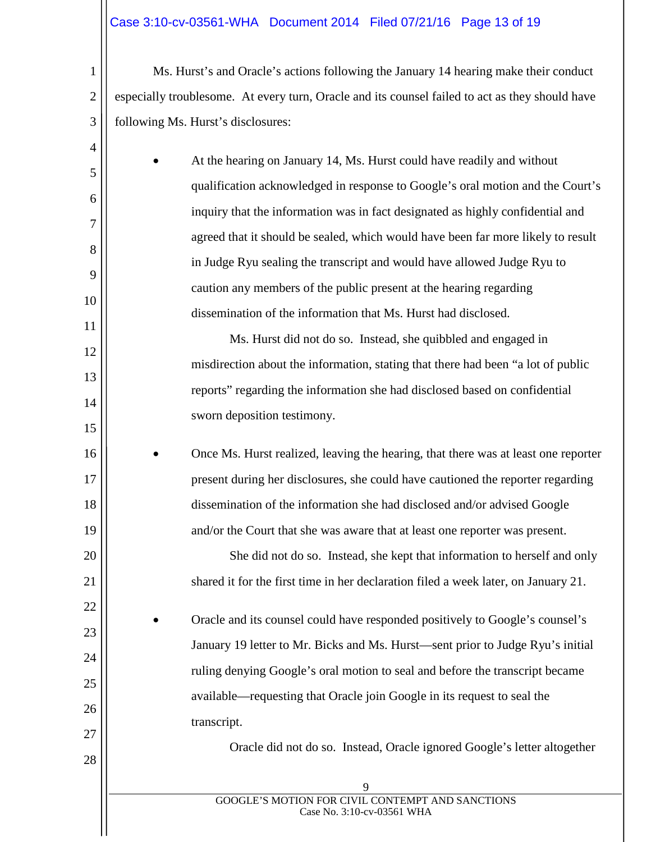# Case 3:10-cv-03561-WHA Document 2014 Filed 07/21/16 Page 13 of 19

1

2

3

4

5

6

7

8

9

10

11

12

13

14

15

16

17

18

19

20

21

22

23

24

25

26

27

28

Ms. Hurst's and Oracle's actions following the January 14 hearing make their conduct especially troublesome. At every turn, Oracle and its counsel failed to act as they should have following Ms. Hurst's disclosures:

• At the hearing on January 14, Ms. Hurst could have readily and without qualification acknowledged in response to Google's oral motion and the Court's inquiry that the information was in fact designated as highly confidential and agreed that it should be sealed, which would have been far more likely to result in Judge Ryu sealing the transcript and would have allowed Judge Ryu to caution any members of the public present at the hearing regarding dissemination of the information that Ms. Hurst had disclosed.

Ms. Hurst did not do so. Instead, she quibbled and engaged in misdirection about the information, stating that there had been "a lot of public reports" regarding the information she had disclosed based on confidential sworn deposition testimony.

• Once Ms. Hurst realized, leaving the hearing, that there was at least one reporter present during her disclosures, she could have cautioned the reporter regarding dissemination of the information she had disclosed and/or advised Google and/or the Court that she was aware that at least one reporter was present.

> She did not do so. Instead, she kept that information to herself and only shared it for the first time in her declaration filed a week later, on January 21.

• Oracle and its counsel could have responded positively to Google's counsel's January 19 letter to Mr. Bicks and Ms. Hurst—sent prior to Judge Ryu's initial ruling denying Google's oral motion to seal and before the transcript became available—requesting that Oracle join Google in its request to seal the transcript.

Oracle did not do so. Instead, Oracle ignored Google's letter altogether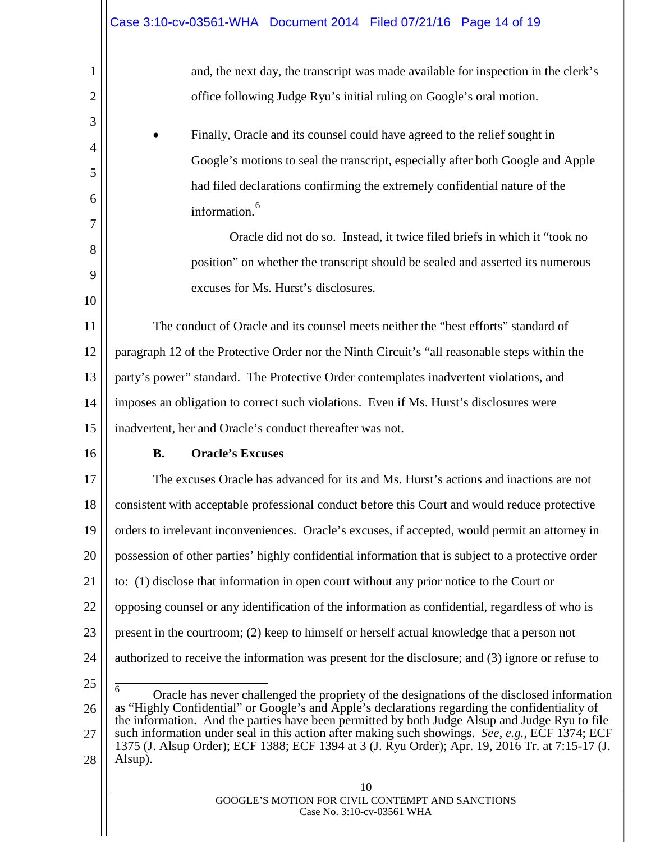and, the next day, the transcript was made available for inspection in the clerk's office following Judge Ryu's initial ruling on Google's oral motion.

• Finally, Oracle and its counsel could have agreed to the relief sought in Google's motions to seal the transcript, especially after both Google and Apple had filed declarations confirming the extremely confidential nature of the information.<sup>[6](#page-13-0)</sup>

> Oracle did not do so. Instead, it twice filed briefs in which it "took no position" on whether the transcript should be sealed and asserted its numerous excuses for Ms. Hurst's disclosures.

11 12 13 14 15 The conduct of Oracle and its counsel meets neither the "best efforts" standard of paragraph 12 of the Protective Order nor the Ninth Circuit's "all reasonable steps within the party's power" standard. The Protective Order contemplates inadvertent violations, and imposes an obligation to correct such violations. Even if Ms. Hurst's disclosures were inadvertent, her and Oracle's conduct thereafter was not.

16

1

2

3

4

5

6

7

8

9

10

## **B. Oracle's Excuses**

17 18 19 20 21 22 23 24 25 The excuses Oracle has advanced for its and Ms. Hurst's actions and inactions are not consistent with acceptable professional conduct before this Court and would reduce protective orders to irrelevant inconveniences. Oracle's excuses, if accepted, would permit an attorney in possession of other parties' highly confidential information that is subject to a protective order to: (1) disclose that information in open court without any prior notice to the Court or opposing counsel or any identification of the information as confidential, regardless of who is present in the courtroom; (2) keep to himself or herself actual knowledge that a person not authorized to receive the information was present for the disclosure; and (3) ignore or refuse to

<span id="page-13-0"></span>26 27 28 6 Oracle has never challenged the propriety of the designations of the disclosed information as "Highly Confidential" or Google's and Apple's declarations regarding the confidentiality of the information. And the parties have been permitted by both Judge Alsup and Judge Ryu to file such information under seal in this action after making such showings. *See, e.g.*, ECF 1374; ECF 1375 (J. Alsup Order); ECF 1388; ECF 1394 at 3 (J. Ryu Order); Apr. 19, 2016 Tr. at 7:15-17 (J. Alsup).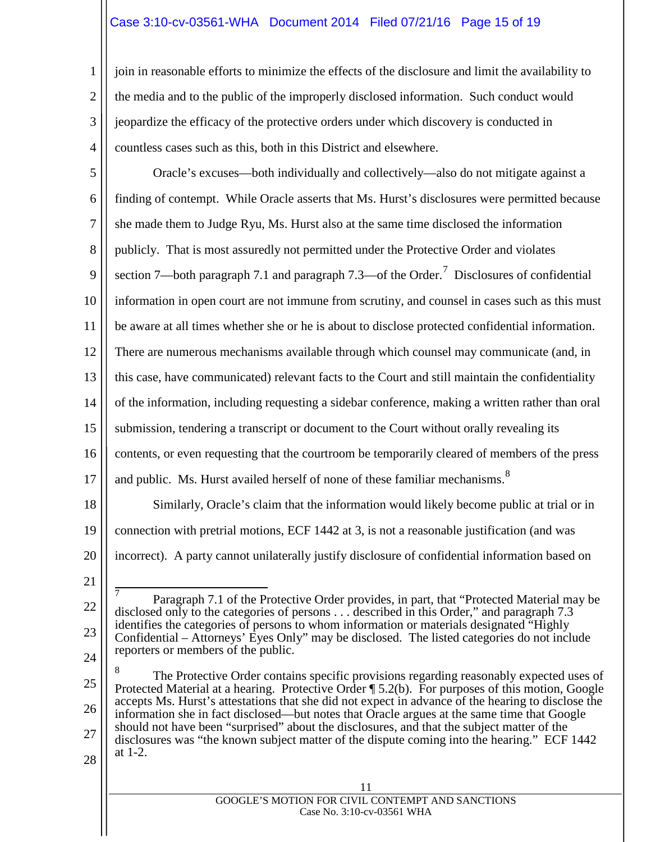# Case 3:10-cv-03561-WHA Document 2014 Filed 07/21/16 Page 15 of 19

join in reasonable efforts to minimize the effects of the disclosure and limit the availability to the media and to the public of the improperly disclosed information. Such conduct would jeopardize the efficacy of the protective orders under which discovery is conducted in countless cases such as this, both in this District and elsewhere.

5 6 7 8 9 10 11 12 13 14 15 16 17 18 19 20 21 22 23 24 25 26 27 Oracle's excuses—both individually and collectively—also do not mitigate against a finding of contempt. While Oracle asserts that Ms. Hurst's disclosures were permitted because she made them to Judge Ryu, Ms. Hurst also at the same time disclosed the information publicly. That is most assuredly not permitted under the Protective Order and violates section [7](#page-14-0)—both paragraph 7.1 and paragraph 7.3—of the Order.<sup>7</sup> Disclosures of confidential information in open court are not immune from scrutiny, and counsel in cases such as this must be aware at all times whether she or he is about to disclose protected confidential information. There are numerous mechanisms available through which counsel may communicate (and, in this case, have communicated) relevant facts to the Court and still maintain the confidentiality of the information, including requesting a sidebar conference, making a written rather than oral submission, tendering a transcript or document to the Court without orally revealing its contents, or even requesting that the courtroom be temporarily cleared of members of the press and public. Ms. Hurst availed herself of none of these familiar mechanisms.<sup>[8](#page-14-1)</sup> Similarly, Oracle's claim that the information would likely become public at trial or in connection with pretrial motions, ECF 1442 at 3, is not a reasonable justification (and was incorrect). A party cannot unilaterally justify disclosure of confidential information based on  $\overline{7}$  Paragraph 7.1 of the Protective Order provides, in part, that "Protected Material may be disclosed only to the categories of persons . . . described in this Order," and paragraph 7.3 identifies the categories of persons to whom information or materials designated "Highly Confidential – Attorneys' Eyes Only" may be disclosed. The listed categories do not include reporters or members of the public. <sup>8</sup> The Protective Order contains specific provisions regarding reasonably expected uses of Protected Material at a hearing. Protective Order ¶ 5.2(b). For purposes of this motion, Google accepts Ms. Hurst's attestations that she did not expect in advance of the hearing to disclose the information she in fact disclosed—but notes that Oracle argues at the same time that Google should not have been "surprised" about the disclosures, and that the subject matter of the disclosures was "the known subject matter of the dispute coming into the hearing." ECF 1442 at 1-2.

<span id="page-14-1"></span><span id="page-14-0"></span>28

1

2

3

4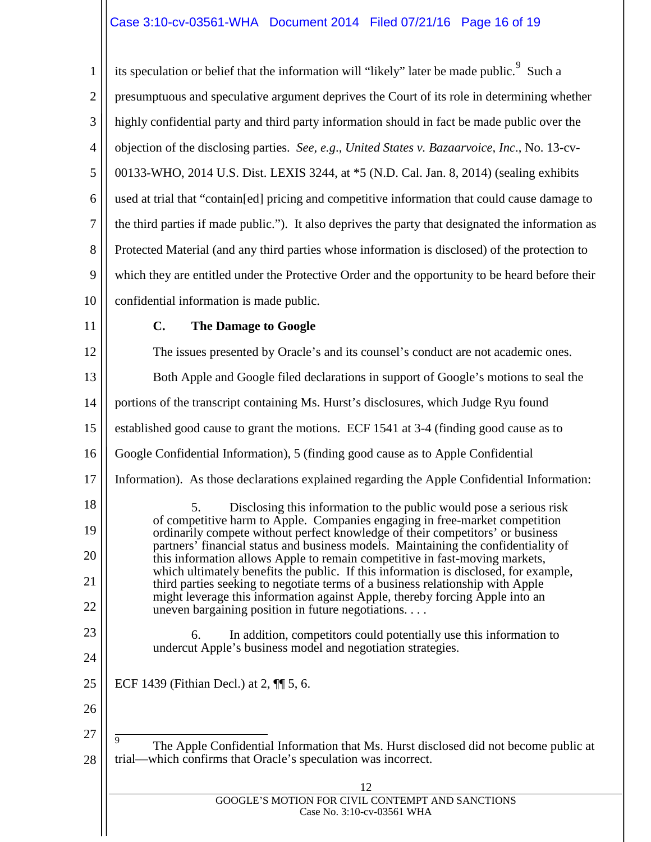# Case 3:10-cv-03561-WHA Document 2014 Filed 07/21/16 Page 16 of 19

1 2 3 4 5 6 7 8 9 10 its speculation or belief that the information will "likely" later be made public.  $9$  Such a presumptuous and speculative argument deprives the Court of its role in determining whether highly confidential party and third party information should in fact be made public over the objection of the disclosing parties. *See, e.g*., *United States v. Bazaarvoice, Inc*., No. 13-cv-00133-WHO, 2014 U.S. Dist. LEXIS 3244, at \*5 (N.D. Cal. Jan. 8, 2014) (sealing exhibits used at trial that "contain[ed] pricing and competitive information that could cause damage to the third parties if made public."). It also deprives the party that designated the information as Protected Material (and any third parties whose information is disclosed) of the protection to which they are entitled under the Protective Order and the opportunity to be heard before their confidential information is made public.

11

## **C. The Damage to Google**

<span id="page-15-0"></span>12 13 14 15 16 17 18 19 20 21 22 23 24 25 26 27 28 12 GOOGLE'S MOTION FOR CIVIL CONTEMPT AND SANCTIONS Case No. 3:10-cv-03561 WHA The issues presented by Oracle's and its counsel's conduct are not academic ones. Both Apple and Google filed declarations in support of Google's motions to seal the portions of the transcript containing Ms. Hurst's disclosures, which Judge Ryu found established good cause to grant the motions. ECF 1541 at 3-4 (finding good cause as to Google Confidential Information), 5 (finding good cause as to Apple Confidential Information). As those declarations explained regarding the Apple Confidential Information: 5. Disclosing this information to the public would pose a serious risk of competitive harm to Apple. Companies engaging in free-market competition ordinarily compete without perfect knowledge of their competitors' or business partners' financial status and business models. Maintaining the confidentiality of this information allows Apple to remain competitive in fast-moving markets, which ultimately benefits the public. If this information is disclosed, for example, third parties seeking to negotiate terms of a business relationship with Apple might leverage this information against Apple, thereby forcing Apple into an uneven bargaining position in future negotiations. . . . 6. In addition, competitors could potentially use this information to undercut Apple's business model and negotiation strategies. ECF 1439 (Fithian Decl.) at 2, ¶¶ 5, 6. 9 The Apple Confidential Information that Ms. Hurst disclosed did not become public at trial—which confirms that Oracle's speculation was incorrect.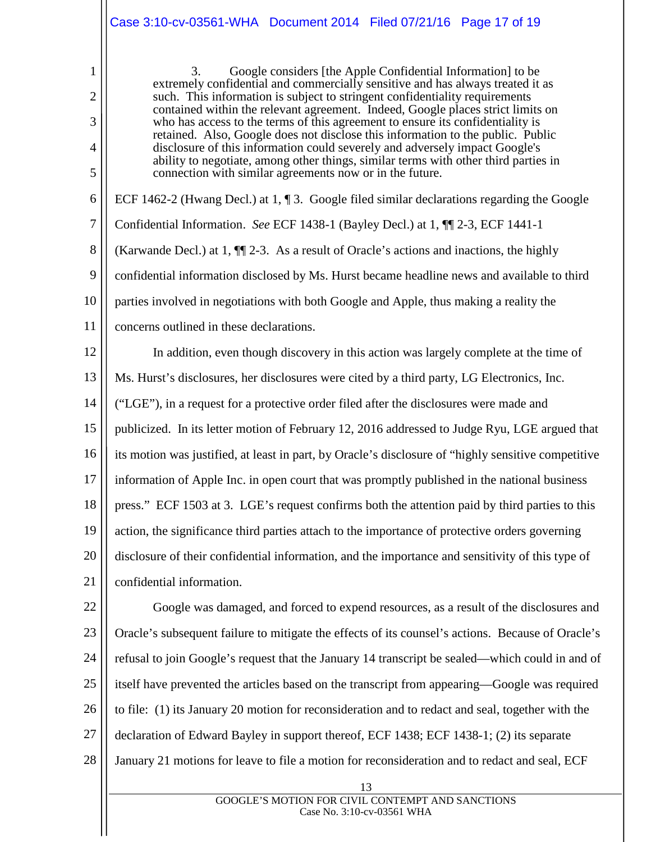|                  | Case 3:10-cv-03561-WHA  Document  2014  Filed 07/21/16  Page  17 of 19                                                                                             |
|------------------|--------------------------------------------------------------------------------------------------------------------------------------------------------------------|
| 1                | 3.<br>Google considers [the Apple Confidential Information] to be<br>extremely confidential and commercially sensitive and has always treated it as                |
| $\overline{2}$   | such. This information is subject to stringent confidentiality requirements<br>contained within the relevant agreement. Indeed, Google places strict limits on     |
| 3                | who has access to the terms of this agreement to ensure its confidentiality is<br>retained. Also, Google does not disclose this information to the public. Public  |
| 4                | disclosure of this information could severely and adversely impact Google's<br>ability to negotiate, among other things, similar terms with other third parties in |
| 5                | connection with similar agreements now or in the future.                                                                                                           |
| 6                | ECF 1462-2 (Hwang Decl.) at 1, 1 3. Google filed similar declarations regarding the Google                                                                         |
| $\boldsymbol{7}$ | Confidential Information. See ECF 1438-1 (Bayley Decl.) at 1, 11 2-3, ECF 1441-1                                                                                   |
| $8\,$            | (Karwande Decl.) at 1, $\P$ [2-3. As a result of Oracle's actions and inactions, the highly                                                                        |
| 9                | confidential information disclosed by Ms. Hurst became headline news and available to third                                                                        |
| 10               | parties involved in negotiations with both Google and Apple, thus making a reality the                                                                             |
| 11               | concerns outlined in these declarations.                                                                                                                           |
| 12               | In addition, even though discovery in this action was largely complete at the time of                                                                              |
| 13               | Ms. Hurst's disclosures, her disclosures were cited by a third party, LG Electronics, Inc.                                                                         |
| 14               | ("LGE"), in a request for a protective order filed after the disclosures were made and                                                                             |
| 15               | publicized. In its letter motion of February 12, 2016 addressed to Judge Ryu, LGE argued that                                                                      |
| 16               | its motion was justified, at least in part, by Oracle's disclosure of "highly sensitive competitive                                                                |
| 17               | information of Apple Inc. in open court that was promptly published in the national business                                                                       |
| 18               | press." ECF 1503 at 3. LGE's request confirms both the attention paid by third parties to this                                                                     |
| 19               | action, the significance third parties attach to the importance of protective orders governing                                                                     |
| 20               | disclosure of their confidential information, and the importance and sensitivity of this type of                                                                   |
| 21               | confidential information.                                                                                                                                          |
| 22               | Google was damaged, and forced to expend resources, as a result of the disclosures and                                                                             |
| 23               | Oracle's subsequent failure to mitigate the effects of its counsel's actions. Because of Oracle's                                                                  |
| 24               | refusal to join Google's request that the January 14 transcript be sealed—which could in and of                                                                    |
| 25               | itself have prevented the articles based on the transcript from appearing-Google was required                                                                      |
| 26               | to file: (1) its January 20 motion for reconsideration and to redact and seal, together with the                                                                   |
| 27               | declaration of Edward Bayley in support thereof, ECF 1438; ECF 1438-1; (2) its separate                                                                            |
| 28               | January 21 motions for leave to file a motion for reconsideration and to redact and seal, ECF                                                                      |
|                  | 13                                                                                                                                                                 |
|                  | GOOGLE'S MOTION FOR CIVIL CONTEMPT AND SANCTIONS<br>Case No. 3:10-cv-03561 WHA                                                                                     |
|                  |                                                                                                                                                                    |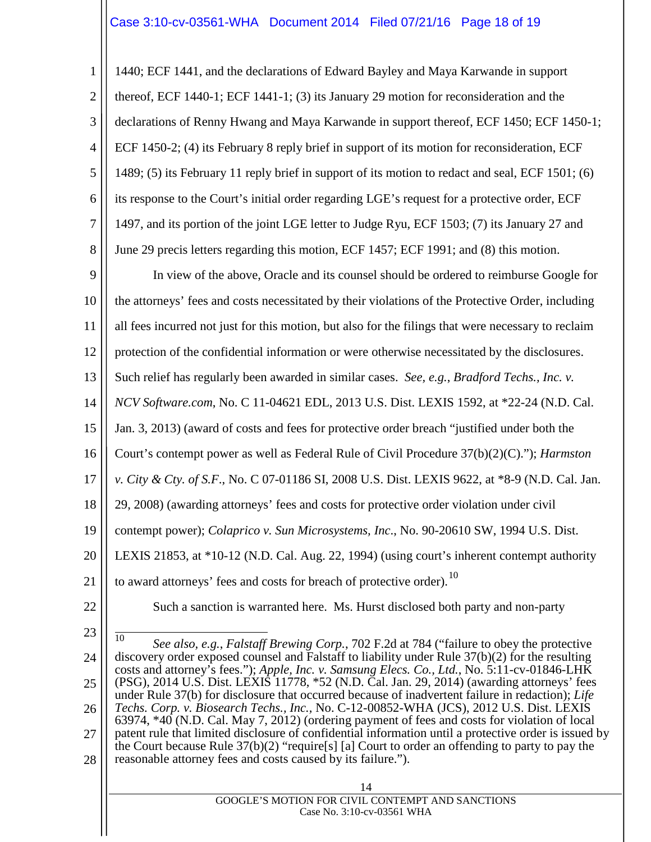1 2 3 4 5 6 7 8 1440; ECF 1441, and the declarations of Edward Bayley and Maya Karwande in support thereof, ECF 1440-1; ECF 1441-1; (3) its January 29 motion for reconsideration and the declarations of Renny Hwang and Maya Karwande in support thereof, ECF 1450; ECF 1450-1; ECF 1450-2; (4) its February 8 reply brief in support of its motion for reconsideration, ECF 1489; (5) its February 11 reply brief in support of its motion to redact and seal, ECF 1501; (6) its response to the Court's initial order regarding LGE's request for a protective order, ECF 1497, and its portion of the joint LGE letter to Judge Ryu, ECF 1503; (7) its January 27 and June 29 precis letters regarding this motion, ECF 1457; ECF 1991; and (8) this motion.

9 10 11 12 13 14 15 16 17 18 19 20 21 In view of the above, Oracle and its counsel should be ordered to reimburse Google for the attorneys' fees and costs necessitated by their violations of the Protective Order, including all fees incurred not just for this motion, but also for the filings that were necessary to reclaim protection of the confidential information or were otherwise necessitated by the disclosures. Such relief has regularly been awarded in similar cases. *See, e.g.*, *Bradford Techs., Inc. v. NCV Software.com*, No. C 11-04621 EDL, 2013 U.S. Dist. LEXIS 1592, at \*22-24 (N.D. Cal. Jan. 3, 2013) (award of costs and fees for protective order breach "justified under both the Court's contempt power as well as Federal Rule of Civil Procedure 37(b)(2)(C)."); *Harmston v. City & Cty. of S.F*., No. C 07-01186 SI, 2008 U.S. Dist. LEXIS 9622, at \*8-9 (N.D. Cal. Jan. 29, 2008) (awarding attorneys' fees and costs for protective order violation under civil contempt power); *Colaprico v. Sun Microsystems, Inc*., No. 90-20610 SW, 1994 U.S. Dist. LEXIS 21853, at \*10-12 (N.D. Cal. Aug. 22, 1994) (using court's inherent contempt authority to award attorneys' fees and costs for breach of protective order).<sup>[10](#page-17-0)</sup>

22

23

Such a sanction is warranted here. Ms. Hurst disclosed both party and non-party

<span id="page-17-0"></span>24 25 26 27 28 10 *See also, e.g.*, *Falstaff Brewing Corp.*, 702 F.2d at 784 ("failure to obey the protective discovery order exposed counsel and Falstaff to liability under Rule 37(b)(2) for the resulting costs and attorney's fees."); *Apple, Inc. v. Samsung Elecs. Co., Ltd.*, No. 5:11-cv-01846-LHK (PSG), 2014 U.S. Dist. LEXIS 11778, \*52 (N.D. Cal. Jan. 29, 2014) (awarding attorneys' fees under Rule 37(b) for disclosure that occurred because of inadvertent failure in redaction); *Life Techs. Corp. v. Biosearch Techs., Inc.,* No. C-12-00852-WHA (JCS), 2012 U.S. Dist. LEXIS 63974, \*40 (N.D. Cal. May 7, 2012) (ordering payment of fees and costs for violation of local patent rule that limited disclosure of confidential information until a protective order is issued by the Court because Rule  $37(b)(2)$  "require[s] [a] Court to order an offending to party to pay the reasonable attorney fees and costs caused by its failure.").